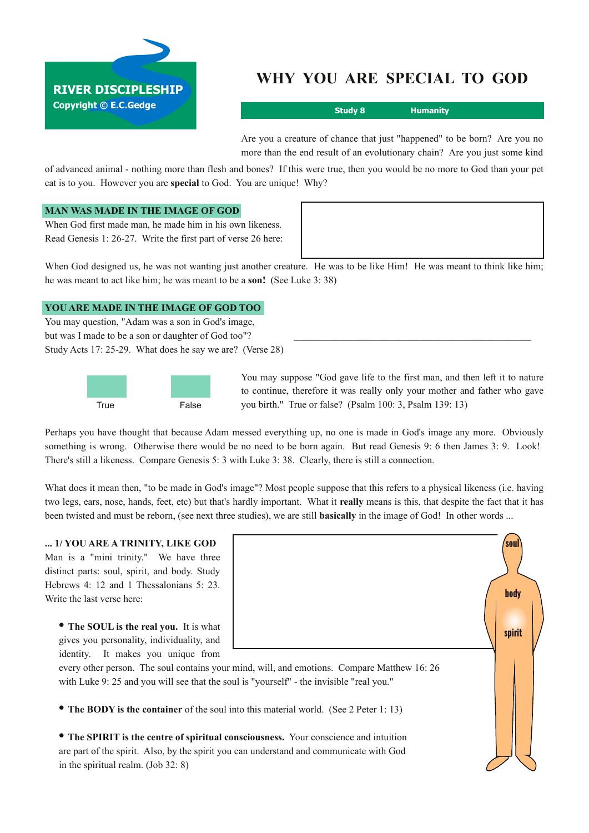

# **WHY YOU ARE SPECIAL TO GOD**

**Study 8 Humanity**

Are you a creature of chance that just "happened" to be born? Are you no more than the end result of an evolutionary chain? Are you just some kind

of advanced animal nothing more than flesh and bones? If this were true, then you would be no more to God than your pet cat is to you. However you are **special** to God. You are unique! Why?

# **MAN WAS MADE IN THE IMAGE OF GOD**

When God first made man, he made him in his own likeness. Read Genesis 1: 26-27. Write the first part of verse 26 here:

When God designed us, he was not wanting just another creature. He was to be like Him! He was meant to think like him; he was meant to act like him; he was meant to be a **son!** (See Luke 3: 38)

## **YOU ARE MADE IN THE IMAGE OF GOD TOO**

You may question, "Adam was a son in God's image, but was I made to be a son or daughter of God too"? Study Acts 17: 25-29. What does he say we are? (Verse 28)



You may suppose "God gave life to the first man, and then left it to nature to continue, therefore it was really only your mother and father who gave you birth." True or false? (Psalm 100: 3, Psalm 139: 13)

Perhaps you have thought that because Adam messed everything up, no one is made in God's image any more. Obviously something is wrong. Otherwise there would be no need to be born again. But read Genesis 9: 6 then James 3: 9. Look! There's still a likeness. Compare Genesis 5: 3 with Luke 3: 38. Clearly, there is still a connection.

What does it mean then, "to be made in God's image"? Most people suppose that this refers to a physical likeness (i.e. having two legs, ears, nose, hands, feet, etc) but that's hardly important. What it **really** means is this, that despite the fact that it has been twisted and must be reborn, (see next three studies), we are still **basically** in the image of God! In other words ...

#### **... 1/ YOU ARE A TRINITY, LIKE GOD**

Man is a "mini trinity." We have three distinct parts: soul, spirit, and body. Study Hebrews 4: 12 and 1 Thessalonians 5: 23. Write the last verse here:

**• The SOUL is the real you.** It is what gives you personality, individuality, and identity. It makes you unique from



every other person. The soul contains your mind, will, and emotions. Compare Matthew 16: 26 with Luke 9: 25 and you will see that the soul is "yourself" - the invisible "real you."

**• The BODY is the container** of the soul into this material world. (See <sup>2</sup> Peter 1: 13)

**• The SPIRIT is the centre of spiritual consciousness.** Your conscience and intuition are part of the spirit. Also, by the spirit you can understand and communicate with God in the spiritual realm. (Job 32: 8)